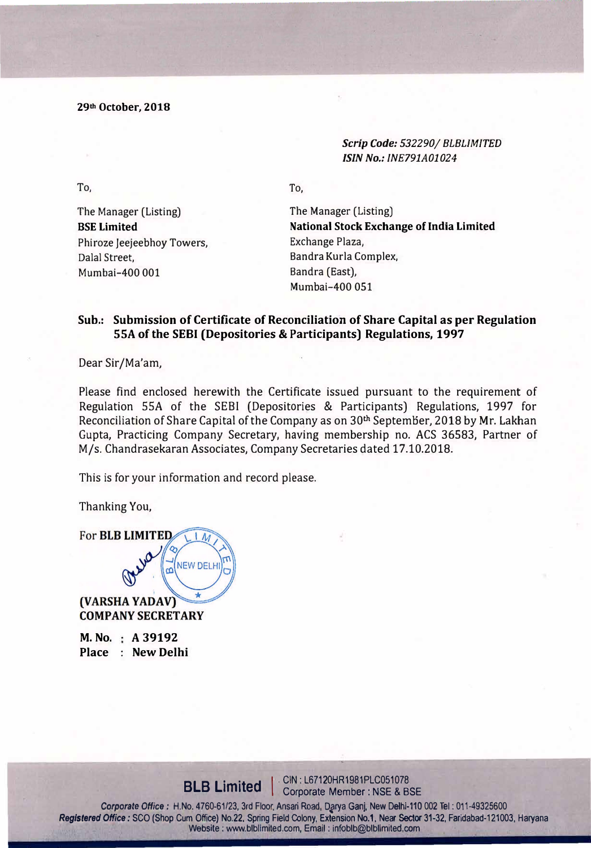**29th October, 2018** 

*Scrip Code: 532290/ BLBLIMITED /SIN No.: INE791A01024* 

To,

To,

The Manager (Listing) **BSE Limited**  Phiroze Jeejeebhoy Towers, Dalal Street, Mumbai-400 001

The Manager (Listing) **National Stock Exchange of India Limited**  Exchange Plaza, Sandra Kurla Complex, Bandra (East), Mumbai-400 051

### **Sub.: Submission of Certificate of Reconciliation of Share Capital as per Regulation SSA of the SEBI (Depositories** & **Participants) Regulations, 1997**

Dear Sir/Ma'am,

Please find enclosed herewith the Certificate issued pursuant to the requirement of Regulation SSA of the SEBI (Depositories & Participants) Regulations, 1997 for Reconciliation of Share Capital of the Company as on 30<sup>th</sup> September, 2018 by Mr. Lakhan Gupta, Practicing Company Secretary, having membership no. ACS 36583, Partner of M/s. Chandrasekaran Associates, Company Secretaries dated 17.10.2018.

This is for your information and record please.

Thanking You,

For **BLB LIMITED** NEW DELH (VARSHA YADAV)

**COMPANY SECRETARY** 

**M. No. A 39192 Place : New Delhi**

> **BLB Limited CIN: L67120HR1981PLC051078 Corporate Member: NSE & BSE**

Corporate Office: H.No. 4760-61/23, 3rd Floor, Ansari Road, Darya Ganj, New Delhi-110 002 Tel: 011-49325600 Registered Office: SCO (Shop Cum Office) No.22, Spring Field Colony, Extension No.1, Near Sector 31-32, Faridabad-121003, Haryana Website: www.blblimited.com, Email: infoblb@blblimited.com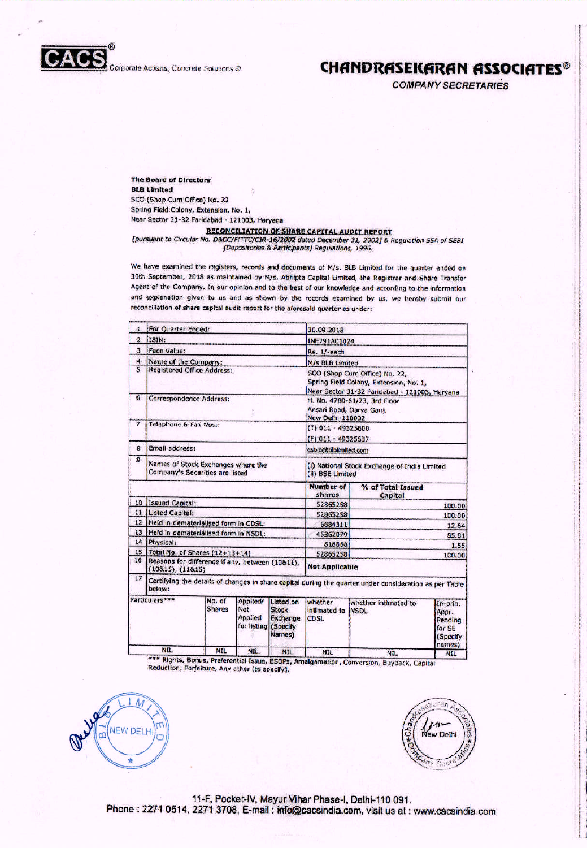

## **CHANDRASEKARAN ASSOCIATES®**

**COMPANY SECRETARIES** 

The Board of Directors **BLB Limited** SCO (Shop Cum Office) No. 22 Spring Field Colony, Extension, No. 1, Near Sector 31-32 Faridabad - 121003, Haryana

#### **RECONCILIATION OF SHARE CAPITAL AUDIT REPORT**

[pursuant to Circular No. D&CC/F/TTC/CIR-16/2002 dated December 31, 2002] & Regulation 55A of SEBI (Depositories & Participants) Regulations, 1996.

We have examined the registers, records and documents of M/s. BLB Limited for the quarter ended on 30th September, 2018 as maintained by M/s. Abhipta Capital Limited, the Registrar and Share Transfer Agent of the Company. In our opinion and to the best of our knowledge and according to the information and explanation given to us and as shown by the records examined by us, we hereby submit our reconciliation of share capital audit report for the aforesald quarter as under:

| 且                       | For Quarter Ended:                                                                                               |                         |                                                           |                                                 | 30.09.2018                                                                                                              |                              |                                                              |  |
|-------------------------|------------------------------------------------------------------------------------------------------------------|-------------------------|-----------------------------------------------------------|-------------------------------------------------|-------------------------------------------------------------------------------------------------------------------------|------------------------------|--------------------------------------------------------------|--|
| $\overline{c}$          | ISIN:                                                                                                            |                         |                                                           |                                                 | <b>INE791A01024</b>                                                                                                     |                              |                                                              |  |
| $\overline{3}$          | <b>Face Value:</b>                                                                                               |                         |                                                           |                                                 | Re. 1/-each                                                                                                             |                              |                                                              |  |
| 4                       | Name of the Company:                                                                                             |                         |                                                           |                                                 | M/s BLB Limited                                                                                                         |                              |                                                              |  |
| $\overline{\mathbf{s}}$ | Registered Office Address:                                                                                       |                         |                                                           |                                                 | SCO (Shop Cum Office) No. 22.<br>Spring Field Colony, Extension, No. 1,<br>Near Sector 31-32 Fandebad - 121003, Haryana |                              |                                                              |  |
| 6                       | Correspondence Address:                                                                                          |                         |                                                           |                                                 | H. No. 4760-61/23, 3rd Floor<br>Ansari Road, Darya Gani,<br><b>New Delhi-110002</b>                                     |                              |                                                              |  |
| 7                       | Telephone & Fax Nos.:                                                                                            |                         |                                                           |                                                 | (T) 011 - 49325600<br>$(F)$ 011 - 49325637                                                                              |                              |                                                              |  |
| 8                       | Email address:                                                                                                   |                         |                                                           | csblb@biblimited.com                            |                                                                                                                         |                              |                                                              |  |
| 9                       | Names of Stock Exchanges where the<br>Company's Securities are listed                                            |                         |                                                           |                                                 | (I) National Stock Exchange of India Limited<br>(ii) BSE Limited                                                        |                              |                                                              |  |
|                         |                                                                                                                  |                         |                                                           |                                                 | <b>Number of</b><br>shares                                                                                              | % of Total Issued<br>Capital |                                                              |  |
| 10                      | Issued Capital:                                                                                                  |                         |                                                           |                                                 | 52865258                                                                                                                |                              | 100.00                                                       |  |
| 11                      | <b>Listed Capital:</b>                                                                                           |                         |                                                           |                                                 | 52865258                                                                                                                | 100.00                       |                                                              |  |
| 12                      | Held in dematerialised form in CDSL:                                                                             |                         |                                                           |                                                 | 6684311                                                                                                                 | 12.64                        |                                                              |  |
| 13                      | Held in dematerialised form in NSDL:                                                                             |                         |                                                           |                                                 | 45362079                                                                                                                | 85.81                        |                                                              |  |
| 14                      |                                                                                                                  | Physical:               |                                                           |                                                 | 818868                                                                                                                  | 1.55                         |                                                              |  |
| 15                      | Total No. of Shares (12+13+14)                                                                                   |                         |                                                           |                                                 | 52865258                                                                                                                |                              | 100.00                                                       |  |
| 16                      | Reasons for difference if any, between (10811),<br>(10815), (11815)                                              |                         |                                                           | <b>Not Applicable</b>                           |                                                                                                                         |                              |                                                              |  |
| 17                      | Certifying the details of changes in share capital during the quarter under consideration as per Table<br>below: |                         |                                                           |                                                 |                                                                                                                         |                              |                                                              |  |
|                         | Particulars***                                                                                                   | No. of<br><b>Shares</b> | Applied/<br><b>Not</b><br>Applied<br>for listing (Specify | Listed on<br><b>Stock</b><br>Exchange<br>Names) | whether<br>intimated to NSDL<br><b>CDSL</b>                                                                             | whether intimated to         | In-prin.<br>Appr.<br>Pending<br>for SE<br>(Specify<br>names) |  |
|                         | <b>NIL</b>                                                                                                       | <b>NIL</b>              | <b>NIL</b>                                                | <b>NTI</b>                                      | <b>NITE</b>                                                                                                             | AITI                         |                                                              |  |

\*\*\* Rights, Bonus, Proferential Issue, ESOPs, Amalgamation, Conversion, Buyback, Capital Reduction, Forfeiture, Any other (to specify).



ar tar A ew Delhi

11-F, Pocket-IV, Mayur Vihar Phase-I, Delhi-110 091. Phone: 2271 0514, 2271 3708, E-mail: info@cacsindia.com, visit us at: www.cacsindia.com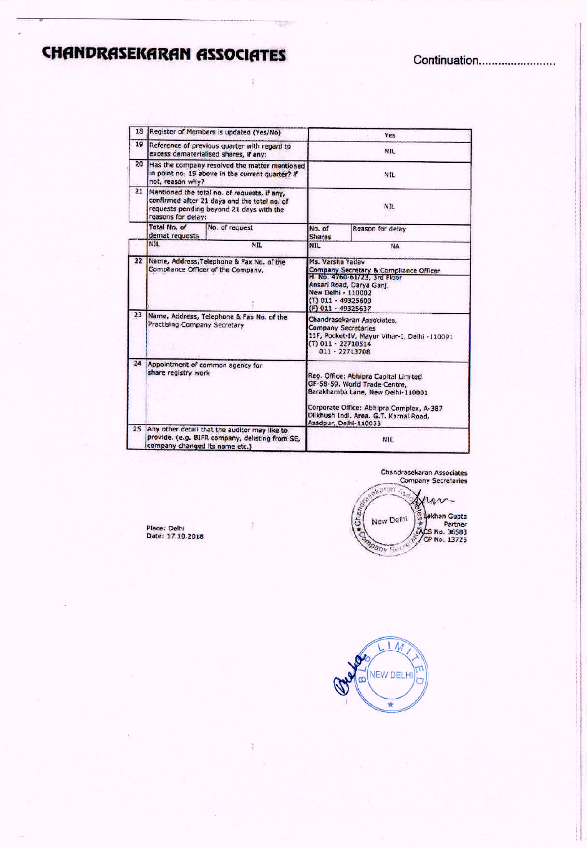# **CHANDRASEKARAN ASSOCIATES**

| 13       |                                                                                                                                                                | Register of Members is updated (Yes/No)                                                           | Yes                                                                                                                                                                                                                       |                  |  |
|----------|----------------------------------------------------------------------------------------------------------------------------------------------------------------|---------------------------------------------------------------------------------------------------|---------------------------------------------------------------------------------------------------------------------------------------------------------------------------------------------------------------------------|------------------|--|
| 19       |                                                                                                                                                                | Reference of previous quarter with regard to<br>excess dematerialised shares, if any:             | <b>NIL</b>                                                                                                                                                                                                                |                  |  |
| 20       | not, reason why?                                                                                                                                               | Has the company resolved the matter mentioned<br>in point no. 19 above in the current quarter? If | NIL                                                                                                                                                                                                                       |                  |  |
| 21       | Mentioned the total no. of requests, if any,<br>confirmed after 21 days and the total no, of<br>requests pending beyond 21 days with the<br>reasons for delay: |                                                                                                   | NIL                                                                                                                                                                                                                       |                  |  |
|          | Total No. of<br>demat requests                                                                                                                                 | No. of request                                                                                    | No. of<br><b>Shares</b>                                                                                                                                                                                                   | Reason for delay |  |
|          | <b>NIL</b>                                                                                                                                                     | <b>NIL</b>                                                                                        | <b>NIL</b>                                                                                                                                                                                                                | <b>NA</b>        |  |
| $22^{2}$ | Name, Address, Telephone & Fax No. of the<br>Compliance Officer of the Company.                                                                                |                                                                                                   | Ms. Varsha Yadav<br>Company Secretary & Compliance Officer<br>H. No. 4760-61/23. 3rd Floor<br>Ansari Road, Darya Ganj.<br>New Delhi - 110002<br>(T) 011 - 49325600<br>(F) 011 - 49325637                                  |                  |  |
| 23       | Practising Company Secretary                                                                                                                                   | Name, Address, Telephone & Fax No. of the                                                         | Chandrasekaran Associates.<br><b>Company Secretaries</b><br>11F, Pocket-IV, Mayur Vihar-I, Delhi -110091<br>(T) 011 - 22710514<br>$011 - 22713708$                                                                        |                  |  |
| 24       | share registry work                                                                                                                                            | Appointment of common agency for                                                                  | Reg. Office: Abhipra Capital Limited<br>GF-58-59. World Trade Centre,<br>Barakhamba Lane, New Delhi-110001<br>Corporate Office: Abhipra Complex, A-387<br>Dilkhush Indi. Area. G.T. Karnal Road,<br>Azadpur, Delhi-110033 |                  |  |
| 25       | company changed its name etc.)                                                                                                                                 | Any other detail that the auditor may like to.<br>provide. (e.g. BIFR company, delisting from SE, | NIL                                                                                                                                                                                                                       |                  |  |

 $\tilde{\mathbf{x}}$ 

Chandrasekaran Associates<br>Company Secretaries

**ALONG AS**  $4\nu$ ×, ed<br>
Collakhan Gupta<br>
Partner<br>
SACS No. 36583<br>
CP No. 13725  $\sqrt{\frac{2}{12}}$ New Delhi **Company Section** 

Place: Delhi<br>Date: 17.10.2018

 $1M$ NEW DELHI  $\omega$  $\overline{\mathbf{r}}$